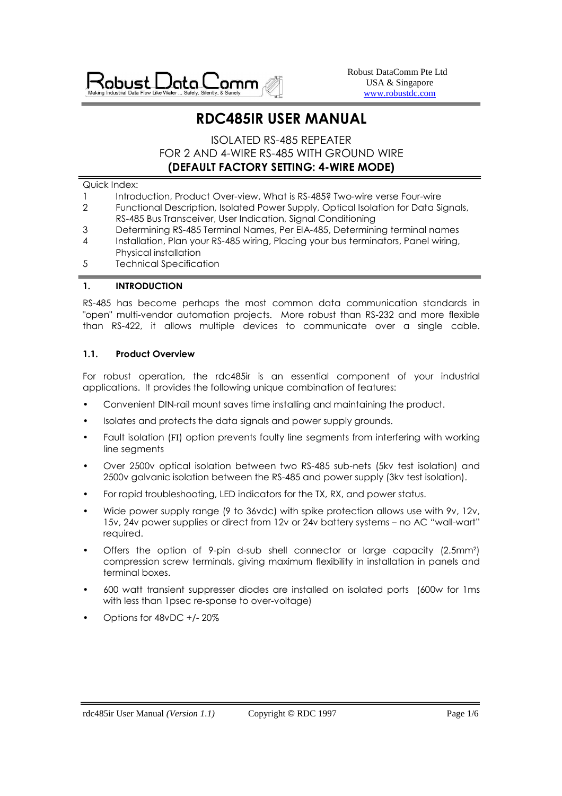

Robust DataComm Pte Ltd USA & Singapore www.robustdc.com

# **RDC485IR USER MANUAL**

# ISOLATED RS-485 REPEATER FOR 2 AND 4-WIRE RS-485 WITH GROUND WIRE **(DEFAULT FACTORY SETTING: 4-WIRE MODE)**

#### Quick Index:

- 1 Introduction, Product Over-view, What is RS-485? Two-wire verse Four-wire
- 2 Functional Description, Isolated Power Supply, Optical Isolation for Data Signals, RS-485 Bus Transceiver, User Indication, Signal Conditioning
- 3 Determining RS-485 Terminal Names, Per EIA-485, Determining terminal names
- 4 Installation, Plan your RS-485 wiring, Placing your bus terminators, Panel wiring, Physical installation
- 5 Technical Specification

### **1. INTRODUCTION**

RS-485 has become perhaps the most common data communication standards in "open" multi-vendor automation projects. More robust than RS-232 and more flexible than RS-422, it allows multiple devices to communicate over a single cable.

### **1.1. Product Overview**

For robust operation, the rdc485ir is an essential component of your industrial applications. It provides the following unique combination of features:

- Convenient DIN-rail mount saves time installing and maintaining the product.
- Isolates and protects the data signals and power supply grounds.
- Fault isolation (FI) option prevents faulty line segments from interfering with working line segments
- Over 2500v optical isolation between two RS-485 sub-nets (5kv test isolation) and 2500v galvanic isolation between the RS-485 and power supply (3kv test isolation).
- For rapid troubleshooting, LED indicators for the TX, RX, and power status.
- Wide power supply range (9 to 36vdc) with spike protection allows use with 9v, 12v, 15v, 24v power supplies or direct from 12v or 24v battery systems – no AC "wall-wart" required.
- Offers the option of 9-pin d-sub shell connector or large capacity (2.5mm²) compression screw terminals, giving maximum flexibility in installation in panels and terminal boxes.
- 600 watt transient suppresser diodes are installed on isolated ports (600w for 1ms with less than 1psec re-sponse to over-voltage)
- Options for 48vDC +/- 20%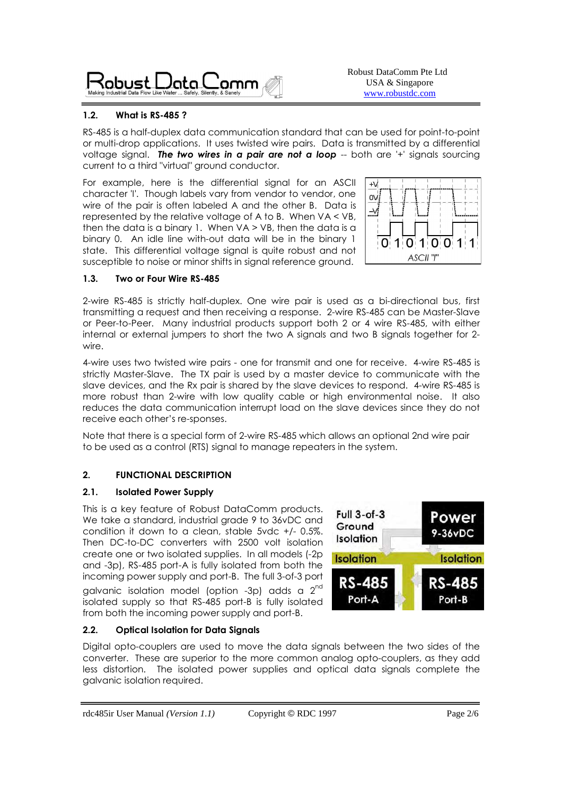Robust  $\bigcirc$ ata $\bigcirc$ amm

Robust DataComm Pte Ltd USA & Singapore www.robustdc.com

# **1.2. What is RS-485 ?**

RS-485 is a half-duplex data communication standard that can be used for point-to-point or multi-drop applications. It uses twisted wire pairs. Data is transmitted by a differential voltage signal. **The two wires in a pair are not a loop** -- both are '+' signals sourcing current to a third "virtual" ground conductor.

For example, here is the differential signal for an ASCII character 'I'. Though labels vary from vendor to vendor, one wire of the pair is often labeled A and the other B. Data is represented by the relative voltage of A to B. When VA < VB, then the data is a binary 1. When  $VA > VB$ , then the data is a binary 0. An idle line with-out data will be in the binary 1 state. This differential voltage signal is quite robust and not susceptible to noise or minor shifts in signal reference ground.



### **1.3. Two or Four Wire RS-485**

2-wire RS-485 is strictly half-duplex. One wire pair is used as a bi-directional bus, first transmitting a request and then receiving a response. 2-wire RS-485 can be Master-Slave or Peer-to-Peer. Many industrial products support both 2 or 4 wire RS-485, with either internal or external jumpers to short the two A signals and two B signals together for 2 wire.

4-wire uses two twisted wire pairs - one for transmit and one for receive. 4-wire RS-485 is strictly Master-Slave. The TX pair is used by a master device to communicate with the slave devices, and the Rx pair is shared by the slave devices to respond. 4-wire RS-485 is more robust than 2-wire with low quality cable or high environmental noise. It also reduces the data communication interrupt load on the slave devices since they do not receive each other's re-sponses.

Note that there is a special form of 2-wire RS-485 which allows an optional 2nd wire pair to be used as a control (RTS) signal to manage repeaters in the system.

# **2. FUNCTIONAL DESCRIPTION**

**2.2. Optical Isolation for Data Signals** 

galvanic isolation required.

# **2.1. Isolated Power Supply**

This is a key feature of Robust DataComm products. We take a standard, industrial grade 9 to 36vDC and condition it down to a clean, stable 5vdc +/- 0.5%. Then DC-to-DC converters with 2500 volt isolation create one or two isolated supplies. In all models (-2p and -3p), RS-485 port-A is fully isolated from both the incoming power supply and port-B. The full 3-of-3 port galvanic isolation model (option -3p) adds a 2<sup>nd</sup> isolated supply so that RS-485 port-B is fully isolated from both the incoming power supply and port-B.



## Digital opto-couplers are used to move the data signals between the two sides of the converter. These are superior to the more common analog opto-couplers, as they add less distortion. The isolated power supplies and optical data signals complete the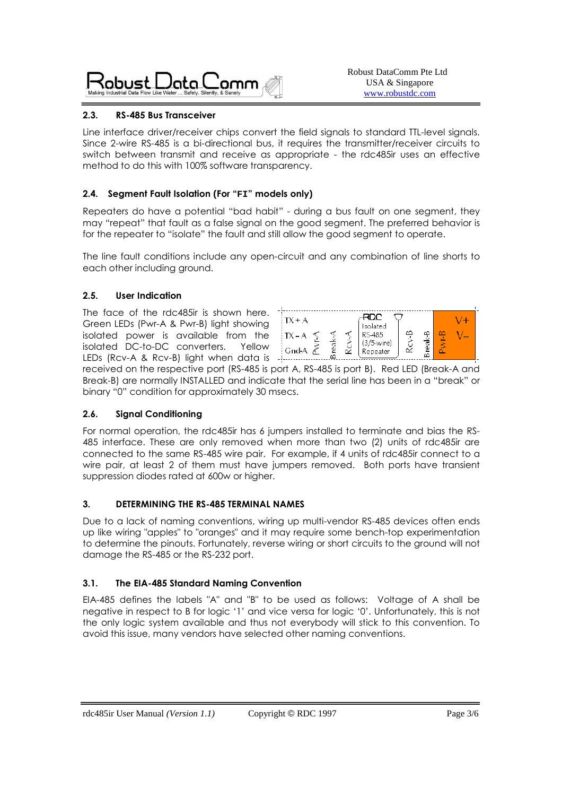

## **2.3. RS-485 Bus Transceiver**

Line interface driver/receiver chips convert the field signals to standard TTL-level signals. Since 2-wire RS-485 is a bi-directional bus, it requires the transmitter/receiver circuits to switch between transmit and receive as appropriate - the rdc485ir uses an effective method to do this with 100% software transparency.

## **2.4. Segment Fault Isolation (For "FI" models only)**

Repeaters do have a potential "bad habit" - during a bus fault on one segment, they may "repeat" that fault as a false signal on the good segment. The preferred behavior is for the repeater to "isolate" the fault and still allow the good segment to operate.

The line fault conditions include any open-circuit and any combination of line shorts to each other including ground.

### **2.5. User Indication**

The face of the rdc485ir is shown here. Green LEDs (Pwr-A & Pwr-B) light showing isolated power is available from the isolated DC-to-DC converters. Yellow LEDs (Rcv-A & Rcv-B) light when data is -



received on the respective port (RS-485 is port A, RS-485 is port B). Red LED (Break-A and Break-B) are normally INSTALLED and indicate that the serial line has been in a "break" or binary "0" condition for approximately 30 msecs.

### **2.6. Signal Conditioning**

For normal operation, the rdc485ir has 6 jumpers installed to terminate and bias the RS-485 interface. These are only removed when more than two (2) units of rdc485ir are connected to the same RS-485 wire pair. For example, if 4 units of rdc485ir connect to a wire pair, at least 2 of them must have jumpers removed. Both ports have transient suppression diodes rated at 600w or higher.

### **3. DETERMINING THE RS-485 TERMINAL NAMES**

Due to a lack of naming conventions, wiring up multi-vendor RS-485 devices often ends up like wiring "apples" to "oranges" and it may require some bench-top experimentation to determine the pinouts. Fortunately, reverse wiring or short circuits to the ground will not damage the RS-485 or the RS-232 port.

### **3.1. The EIA-485 Standard Naming Convention**

EIA-485 defines the labels "A" and "B" to be used as follows: Voltage of A shall be negative in respect to B for logic '1' and vice versa for logic '0'. Unfortunately, this is not the only logic system available and thus not everybody will stick to this convention. To avoid this issue, many vendors have selected other naming conventions.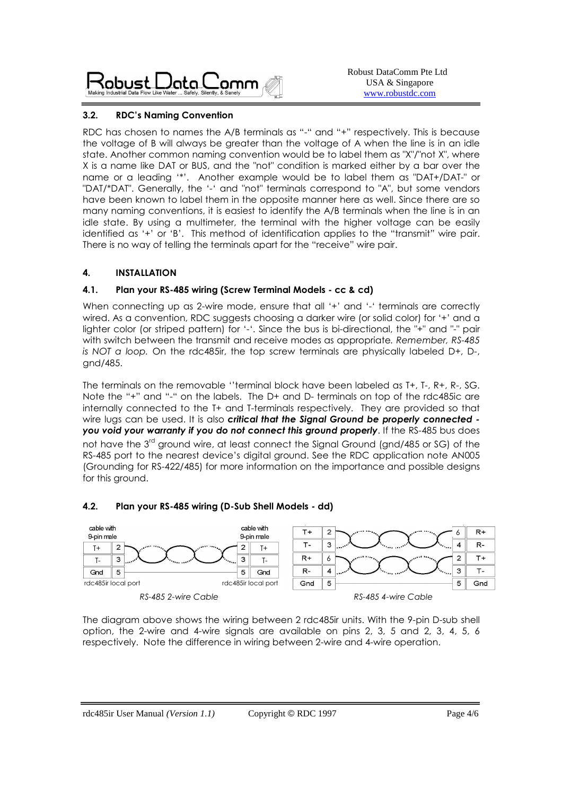

## **3.2. RDC's Naming Convention**

RDC has chosen to names the A/B terminals as "-" and "+" respectively. This is because the voltage of B will always be greater than the voltage of A when the line is in an idle state. Another common naming convention would be to label them as "X"/"not X", where X is a name like DAT or BUS, and the "not" condition is marked either by a bar over the name or a leading '\*'. Another example would be to label them as "DAT+/DAT-" or "DAT/\*DAT". Generally, the '-' and "not" terminals correspond to "A", but some vendors have been known to label them in the opposite manner here as well. Since there are so many naming conventions, it is easiest to identify the A/B terminals when the line is in an idle state. By using a multimeter, the terminal with the higher voltage can be easily identified as '+' or 'B'. This method of identification applies to the "transmit" wire pair. There is no way of telling the terminals apart for the "receive" wire pair.

## **4. INSTALLATION**

## **4.1. Plan your RS-485 wiring (Screw Terminal Models - cc & cd)**

When connecting up as 2-wire mode, ensure that all '+' and '-' terminals are correctly wired. As a convention, RDC suggests choosing a darker wire (or solid color) for '+' and a lighter color (or striped pattern) for '-'. Since the bus is bi-directional, the "+" and "-" pair with switch between the transmit and receive modes as appropriate*. Remember, RS-485 is NOT a loop.* On the rdc485ir, the top screw terminals are physically labeled D+, D-, gnd/485.

The terminals on the removable ''terminal block have been labeled as T+, T-, R+, R-, SG. Note the "+" and "-" on the labels. The D+ and D- terminals on top of the rdc485ic are internally connected to the T+ and T-terminals respectively. They are provided so that wire lugs can be used. It is also *critical that the Signal Ground be properly connected you void your warranty if you do not connect this ground properly*. If the RS-485 bus does not have the 3<sup>rd</sup> ground wire, at least connect the Signal Ground (and/485 or SG) of the RS-485 port to the nearest device's digital ground. See the RDC application note AN005 (Grounding for RS-422/485) for more information on the importance and possible designs for this ground.

# **4.2. Plan your RS-485 wiring (D-Sub Shell Models - dd)**



The diagram above shows the wiring between 2 rdc485ir units. With the 9-pin D-sub shell option, the 2-wire and 4-wire signals are available on pins 2, 3, 5 and 2, 3, 4, 5, 6 respectively. Note the difference in wiring between 2-wire and 4-wire operation.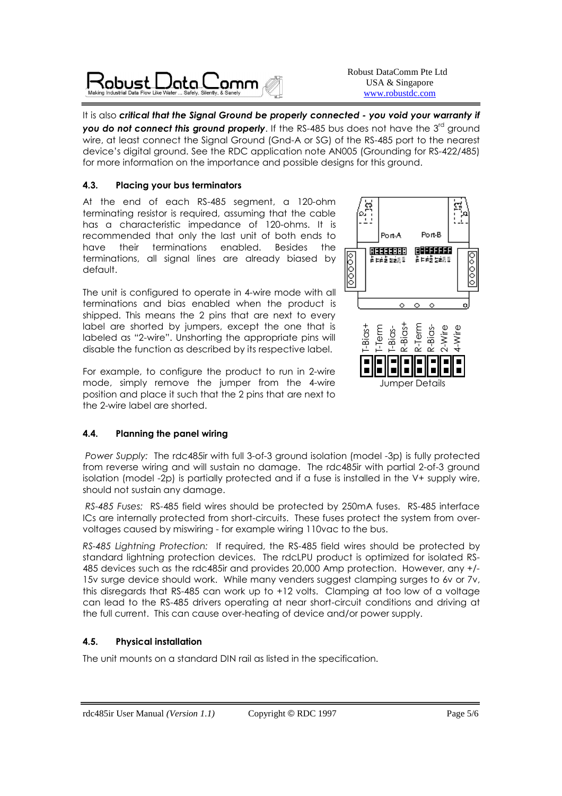

Robust DataComm Pte Ltd USA & Singapore www.robustdc.com

It is also critical that the Signal Ground be properly connected - you void your warranty if **you do not connect this ground properly**. If the RS-485 bus does not have the 3<sup>rd</sup> ground wire, at least connect the Signal Ground (Gnd-A or SG) of the RS-485 port to the nearest device's digital ground. See the RDC application note AN005 (Grounding for RS-422/485) for more information on the importance and possible designs for this ground.

## **4.3. Placing your bus terminators**

At the end of each RS-485 segment, a 120-ohm terminating resistor is required, assuming that the cable has a characteristic impedance of 120-ohms. It is recommended that only the last unit of both ends to have their terminations enabled. Besides the terminations, all signal lines are already biased by default.

The unit is configured to operate in 4-wire mode with all terminations and bias enabled when the product is shipped. This means the 2 pins that are next to every label are shorted by jumpers, except the one that is labeled as "2-wire". Unshorting the appropriate pins will disable the function as described by its respective label.

For example, to configure the product to run in 2-wire mode, simply remove the jumper from the 4-wire position and place it such that the 2 pins that are next to the 2-wire label are shorted.

# **4.4. Planning the panel wiring**

 *Power Supply:* The rdc485ir with full 3-of-3 ground isolation (model -3p) is fully protected from reverse wiring and will sustain no damage. The rdc485ir with partial 2-of-3 ground isolation (model -2p) is partially protected and if a fuse is installed in the V+ supply wire, should not sustain any damage.

 *RS-485 Fuses:* RS-485 field wires should be protected by 250mA fuses. RS-485 interface ICs are internally protected from short-circuits. These fuses protect the system from overvoltages caused by miswiring - for example wiring 110vac to the bus.

*RS-485 Lightning Protection:* If required, the RS-485 field wires should be protected by standard lightning protection devices. The rdcLPU product is optimized for isolated RS-485 devices such as the rdc485ir and provides 20,000 Amp protection. However, any +/- 15v surge device should work. While many venders suggest clamping surges to 6v or 7v, this disregards that RS-485 can work up to +12 volts. Clamping at too low of a voltage can lead to the RS-485 drivers operating at near short-circuit conditions and driving at the full current. This can cause over-heating of device and/or power supply.

# **4.5. Physical installation**

The unit mounts on a standard DIN rail as listed in the specification.